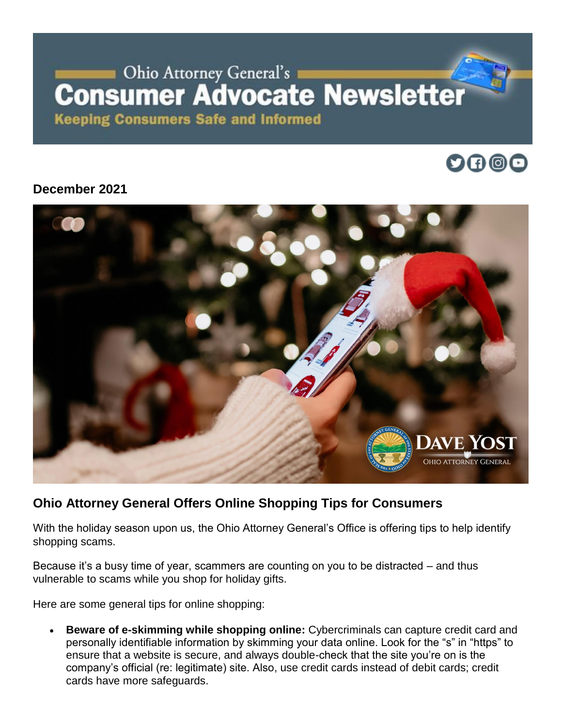# Ohio Attorney General's **Consumer Advocate Newsletter**

**Keeping Consumers Safe and Informed** 



#### **December 2021**



## **Ohio Attorney General Offers Online Shopping Tips for Consumers**

With the holiday season upon us, the Ohio Attorney General's Office is offering tips to help identify shopping scams.

Because it's a busy time of year, scammers are counting on you to be distracted – and thus vulnerable to scams while you shop for holiday gifts.

Here are some general tips for online shopping:

• **Beware of e-skimming while shopping online:** Cybercriminals can capture credit card and personally identifiable information by skimming your data online. Look for the "s" in "https" to ensure that a website is secure, and always double-check that the site you're on is the company's official (re: legitimate) site. Also, use credit cards instead of debit cards; credit cards have more safeguards.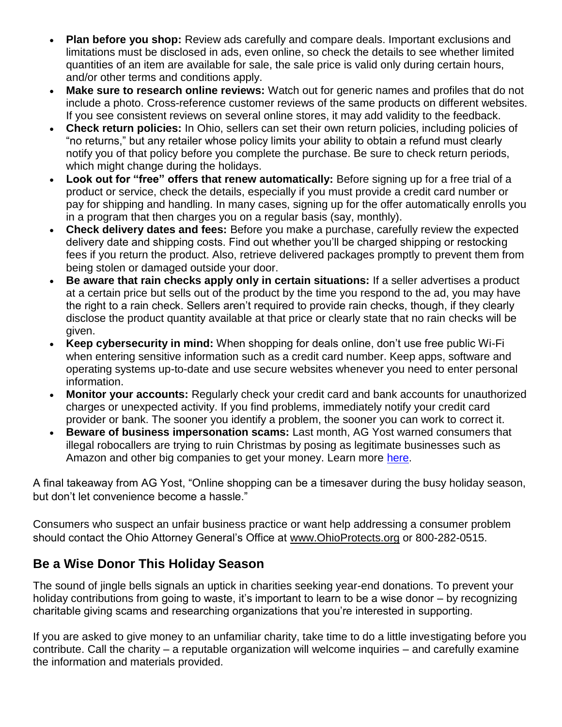- **Plan before you shop:** Review ads carefully and compare deals. Important exclusions and limitations must be disclosed in ads, even online, so check the details to see whether limited quantities of an item are available for sale, the sale price is valid only during certain hours, and/or other terms and conditions apply.
- **Make sure to research online reviews:** Watch out for generic names and profiles that do not include a photo. Cross-reference customer reviews of the same products on different websites. If you see consistent reviews on several online stores, it may add validity to the feedback.
- **Check return policies:** In Ohio, sellers can set their own return policies, including policies of "no returns," but any retailer whose policy limits your ability to obtain a refund must clearly notify you of that policy before you complete the purchase. Be sure to check return periods, which might change during the holidays.
- **Look out for "free" offers that renew automatically:** Before signing up for a free trial of a product or service, check the details, especially if you must provide a credit card number or pay for shipping and handling. In many cases, signing up for the offer automatically enrolls you in a program that then charges you on a regular basis (say, monthly).
- **Check delivery dates and fees:** Before you make a purchase, carefully review the expected delivery date and shipping costs. Find out whether you'll be charged shipping or restocking fees if you return the product. Also, retrieve delivered packages promptly to prevent them from being stolen or damaged outside your door.
- **Be aware that rain checks apply only in certain situations:** If a seller advertises a product at a certain price but sells out of the product by the time you respond to the ad, you may have the right to a rain check. Sellers aren't required to provide rain checks, though, if they clearly disclose the product quantity available at that price or clearly state that no rain checks will be given.
- **Keep cybersecurity in mind:** When shopping for deals online, don't use free public Wi-Fi when entering sensitive information such as a credit card number. Keep apps, software and operating systems up-to-date and use secure websites whenever you need to enter personal information.
- **Monitor your accounts:** Regularly check your credit card and bank accounts for unauthorized charges or unexpected activity. If you find problems, immediately notify your credit card provider or bank. The sooner you identify a problem, the sooner you can work to correct it.
- **Beware of business impersonation scams:** Last month, AG Yost warned consumers that illegal robocallers are trying to ruin Christmas by posing as legitimate businesses such as Amazon and other big companies to get your money. Learn more [here.](https://www.ohioattorneygeneral.gov/Media/News-Releases/November-2021/Attorney-General-Yost-Warns-of-Scammers-Claiming-t)

A final takeaway from AG Yost, "Online shopping can be a timesaver during the busy holiday season, but don't let convenience become a hassle."

Consumers who suspect an unfair business practice or want help addressing a consumer problem should contact the Ohio Attorney General's Office at [www.OhioProtects.org](http://www.ohioprotects.org/) or 800-282-0515.

### **Be a Wise Donor This Holiday Season**

The sound of jingle bells signals an uptick in charities seeking year-end donations. To prevent your holiday contributions from going to waste, it's important to learn to be a wise donor – by recognizing charitable giving scams and researching organizations that you're interested in supporting.

If you are asked to give money to an unfamiliar charity, take time to do a little investigating before you contribute. Call the charity – a reputable organization will welcome inquiries – and carefully examine the information and materials provided.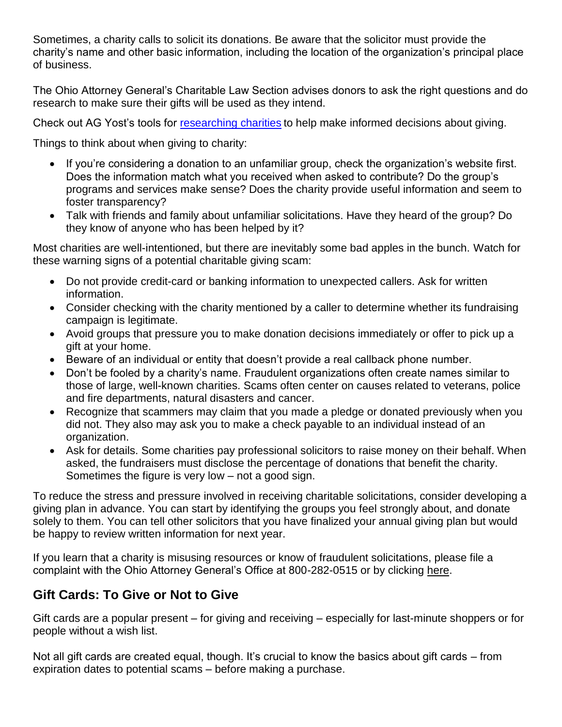Sometimes, a charity calls to solicit its donations. Be aware that the solicitor must provide the charity's name and other basic information, including the location of the organization's principal place of business.

The Ohio Attorney General's Charitable Law Section advises donors to ask the right questions and do research to make sure their gifts will be used as they intend.

Check out AG Yost's tools for [researching charities](https://charitable.ohioago.gov/Research-Charities) to help make informed decisions about giving.

Things to think about when giving to charity:

- If you're considering a donation to an unfamiliar group, check the organization's website first. Does the information match what you received when asked to contribute? Do the group's programs and services make sense? Does the charity provide useful information and seem to foster transparency?
- Talk with friends and family about unfamiliar solicitations. Have they heard of the group? Do they know of anyone who has been helped by it?

Most charities are well-intentioned, but there are inevitably some bad apples in the bunch. Watch for these warning signs of a potential charitable giving scam:

- Do not provide credit-card or banking information to unexpected callers. Ask for written information.
- Consider checking with the charity mentioned by a caller to determine whether its fundraising campaign is legitimate.
- Avoid groups that pressure you to make donation decisions immediately or offer to pick up a gift at your home.
- Beware of an individual or entity that doesn't provide a real callback phone number.
- Don't be fooled by a charity's name. Fraudulent organizations often create names similar to those of large, well-known charities. Scams often center on causes related to veterans, police and fire departments, natural disasters and cancer.
- Recognize that scammers may claim that you made a pledge or donated previously when you did not. They also may ask you to make a check payable to an individual instead of an organization.
- Ask for details. Some charities pay professional solicitors to raise money on their behalf. When asked, the fundraisers must disclose the percentage of donations that benefit the charity. Sometimes the figure is very low – not a good sign.

To reduce the stress and pressure involved in receiving charitable solicitations, consider developing a giving plan in advance. You can start by identifying the groups you feel strongly about, and donate solely to them. You can tell other solicitors that you have finalized your annual giving plan but would be happy to review written information for next year.

If you learn that a charity is misusing resources or know of fraudulent solicitations, please file a complaint with the Ohio Attorney General's Office at 800-282-0515 or by clicking [here.](https://charitable.ohioago.gov/File-a-Complaint)

# **Gift Cards: To Give or Not to Give**

Gift cards are a popular present – for giving and receiving – especially for last-minute shoppers or for people without a wish list.

Not all gift cards are created equal, though. It's crucial to know the basics about gift cards – from expiration dates to potential scams – before making a purchase.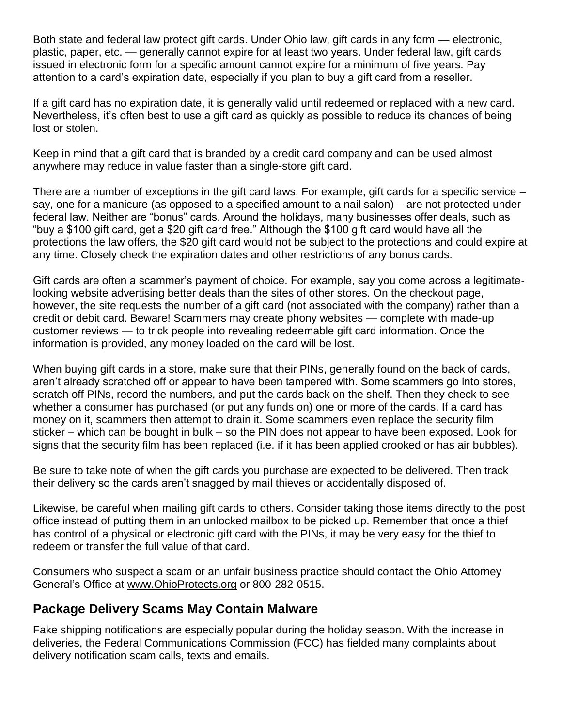Both state and federal law protect gift cards. Under Ohio law, gift cards in any form — electronic, plastic, paper, etc. — generally cannot expire for at least two years. Under federal law, gift cards issued in electronic form for a specific amount cannot expire for a minimum of five years. Pay attention to a card's expiration date, especially if you plan to buy a gift card from a reseller.

If a gift card has no expiration date, it is generally valid until redeemed or replaced with a new card. Nevertheless, it's often best to use a gift card as quickly as possible to reduce its chances of being lost or stolen.

Keep in mind that a gift card that is branded by a credit card company and can be used almost anywhere may reduce in value faster than a single-store gift card.

There are a number of exceptions in the gift card laws. For example, gift cards for a specific service – say, one for a manicure (as opposed to a specified amount to a nail salon) – are not protected under federal law. Neither are "bonus" cards. Around the holidays, many businesses offer deals, such as "buy a \$100 gift card, get a \$20 gift card free." Although the \$100 gift card would have all the protections the law offers, the \$20 gift card would not be subject to the protections and could expire at any time. Closely check the expiration dates and other restrictions of any bonus cards.

Gift cards are often a scammer's payment of choice. For example, say you come across a legitimatelooking website advertising better deals than the sites of other stores. On the checkout page, however, the site requests the number of a gift card (not associated with the company) rather than a credit or debit card. Beware! Scammers may create phony websites — complete with made-up customer reviews — to trick people into revealing redeemable gift card information. Once the information is provided, any money loaded on the card will be lost.

When buying gift cards in a store, make sure that their PINs, generally found on the back of cards, aren't already scratched off or appear to have been tampered with. Some scammers go into stores, scratch off PINs, record the numbers, and put the cards back on the shelf. Then they check to see whether a consumer has purchased (or put any funds on) one or more of the cards. If a card has money on it, scammers then attempt to drain it. Some scammers even replace the security film sticker – which can be bought in bulk – so the PIN does not appear to have been exposed. Look for signs that the security film has been replaced (i.e. if it has been applied crooked or has air bubbles).

Be sure to take note of when the gift cards you purchase are expected to be delivered. Then track their delivery so the cards aren't snagged by mail thieves or accidentally disposed of.

Likewise, be careful when mailing gift cards to others. Consider taking those items directly to the post office instead of putting them in an unlocked mailbox to be picked up. Remember that once a thief has control of a physical or electronic gift card with the PINs, it may be very easy for the thief to redeem or transfer the full value of that card.

Consumers who suspect a scam or an unfair business practice should contact the Ohio Attorney General's Office at [www.OhioProtects.org](http://www.ohioprotects.org/) or 800-282-0515.

#### **Package Delivery Scams May Contain Malware**

Fake shipping notifications are especially popular during the holiday season. With the increase in deliveries, the Federal Communications Commission (FCC) has fielded many complaints about delivery notification scam calls, texts and emails.